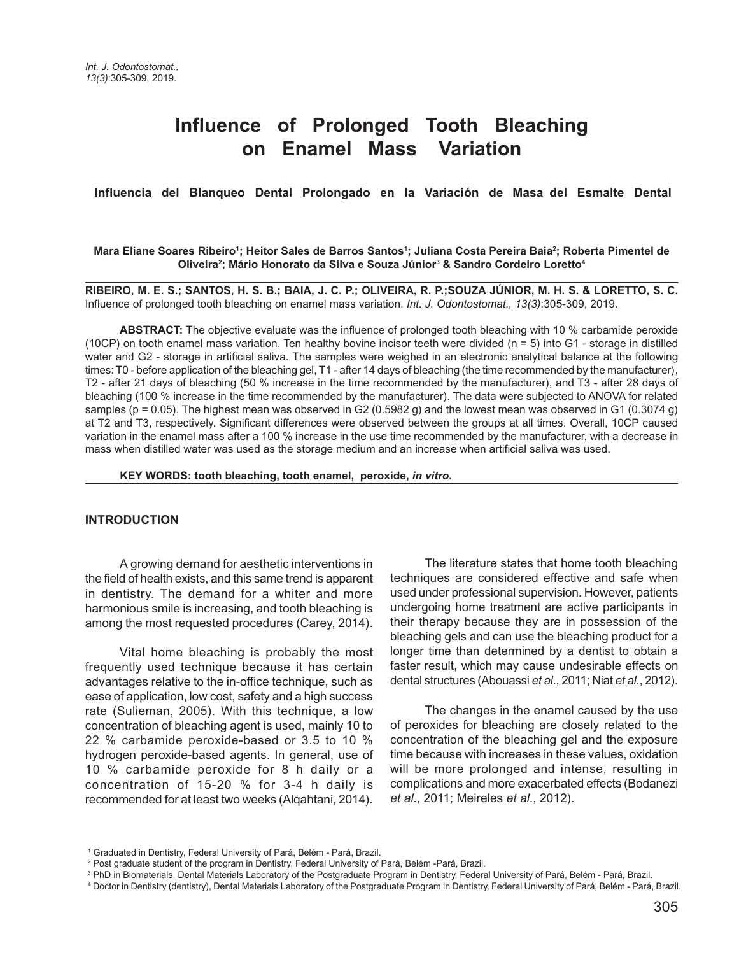# **Influence of Prolonged Tooth Bleaching on Enamel Mass Variation**

#### **Influencia del Blanqueo Dental Prolongado en la Variación de Masa del Esmalte Dental**

#### **Mara Eliane Soares Ribeiro1 ; Heitor Sales de Barros Santos1 ; Juliana Costa Pereira Baia2 ; Roberta Pimentel de Oliveira2 ; Mário Honorato da Silva e Souza Júnior3 & Sandro Cordeiro Loretto4**

**RIBEIRO, M. E. S.; SANTOS, H. S. B.; BAIA, J. C. P.; OLIVEIRA, R. P.;SOUZA JÚNIOR, M. H. S. & LORETTO, S. C.** Influence of prolonged tooth bleaching on enamel mass variation. *Int. J. Odontostomat., 13(3)*:305-309, 2019.

**ABSTRACT:** The objective evaluate was the influence of prolonged tooth bleaching with 10 % carbamide peroxide (10CP) on tooth enamel mass variation. Ten healthy bovine incisor teeth were divided (n = 5) into G1 - storage in distilled water and G2 - storage in artificial saliva. The samples were weighed in an electronic analytical balance at the following times: T0 - before application of the bleaching gel, T1 - after 14 days of bleaching (the time recommended by the manufacturer), T2 - after 21 days of bleaching (50 % increase in the time recommended by the manufacturer), and T3 - after 28 days of bleaching (100 % increase in the time recommended by the manufacturer). The data were subjected to ANOVA for related samples (p = 0.05). The highest mean was observed in G2 (0.5982 g) and the lowest mean was observed in G1 (0.3074 g) at T2 and T3, respectively. Significant differences were observed between the groups at all times. Overall, 10CP caused variation in the enamel mass after a 100 % increase in the use time recommended by the manufacturer, with a decrease in mass when distilled water was used as the storage medium and an increase when artificial saliva was used.

**KEY WORDS: tooth bleaching, tooth enamel, peroxide,** *in vitro.*

#### **INTRODUCTION**

A growing demand for aesthetic interventions in the field of health exists, and this same trend is apparent in dentistry. The demand for a whiter and more harmonious smile is increasing, and tooth bleaching is among the most requested procedures (Carey, 2014).

Vital home bleaching is probably the most frequently used technique because it has certain advantages relative to the in-office technique, such as ease of application, low cost, safety and a high success rate (Sulieman, 2005). With this technique, a low concentration of bleaching agent is used, mainly 10 to 22 % carbamide peroxide-based or 3.5 to 10 % hydrogen peroxide-based agents. In general, use of 10 % carbamide peroxide for 8 h daily or a concentration of 15-20 % for 3-4 h daily is recommended for at least two weeks (Alqahtani, 2014).

The literature states that home tooth bleaching techniques are considered effective and safe when used under professional supervision. However, patients undergoing home treatment are active participants in their therapy because they are in possession of the bleaching gels and can use the bleaching product for a longer time than determined by a dentist to obtain a faster result, which may cause undesirable effects on dental structures (Abouassi *et al*., 2011; Niat *et al*., 2012).

The changes in the enamel caused by the use of peroxides for bleaching are closely related to the concentration of the bleaching gel and the exposure time because with increases in these values, oxidation will be more prolonged and intense, resulting in complications and more exacerbated effects (Bodanezi *et al*., 2011; Meireles *et al*., 2012).

<sup>&</sup>lt;sup>1</sup> Graduated in Dentistry, Federal University of Pará, Belém - Pará, Brazil.

<sup>2</sup> Post graduate student of the program in Dentistry, Federal University of Pará, Belém -Pará, Brazil.

<sup>&</sup>lt;sup>3</sup> PhD in Biomaterials, Dental Materials Laboratory of the Postgraduate Program in Dentistry, Federal University of Pará, Belém - Pará, Brazil.

<sup>4</sup> Doctor in Dentistry (dentistry), Dental Materials Laboratory of the Postgraduate Program in Dentistry, Federal University of Pará, Belém - Pará, Brazil.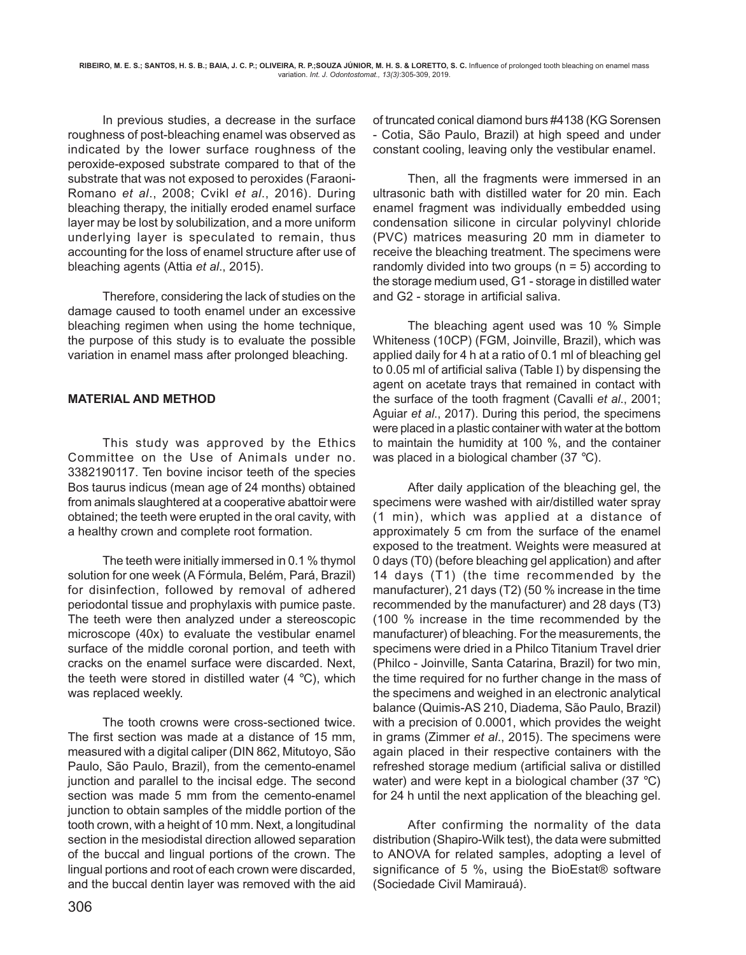In previous studies, a decrease in the surface roughness of post-bleaching enamel was observed as indicated by the lower surface roughness of the peroxide-exposed substrate compared to that of the substrate that was not exposed to peroxides (Faraoni-Romano *et al*., 2008; Cvikl *et al*., 2016). During bleaching therapy, the initially eroded enamel surface layer may be lost by solubilization, and a more uniform underlying layer is speculated to remain, thus accounting for the loss of enamel structure after use of bleaching agents (Attia *et al*., 2015).

Therefore, considering the lack of studies on the damage caused to tooth enamel under an excessive bleaching regimen when using the home technique, the purpose of this study is to evaluate the possible variation in enamel mass after prolonged bleaching.

## **MATERIAL AND METHOD**

This study was approved by the Ethics Committee on the Use of Animals under no. 3382190117. Ten bovine incisor teeth of the species Bos taurus indicus (mean age of 24 months) obtained from animals slaughtered at a cooperative abattoir were obtained; the teeth were erupted in the oral cavity, with a healthy crown and complete root formation.

The teeth were initially immersed in 0.1 % thymol solution for one week (A Fórmula, Belém, Pará, Brazil) for disinfection, followed by removal of adhered periodontal tissue and prophylaxis with pumice paste. The teeth were then analyzed under a stereoscopic microscope (40x) to evaluate the vestibular enamel surface of the middle coronal portion, and teeth with cracks on the enamel surface were discarded. Next, the teeth were stored in distilled water  $(4 \degree C)$ , which was replaced weekly.

The tooth crowns were cross-sectioned twice. The first section was made at a distance of 15 mm, measured with a digital caliper (DIN 862, Mitutoyo, São Paulo, São Paulo, Brazil), from the cemento-enamel junction and parallel to the incisal edge. The second section was made 5 mm from the cemento-enamel junction to obtain samples of the middle portion of the tooth crown, with a height of 10 mm. Next, a longitudinal section in the mesiodistal direction allowed separation of the buccal and lingual portions of the crown. The lingual portions and root of each crown were discarded, and the buccal dentin layer was removed with the aid

of truncated conical diamond burs #4138 (KG Sorensen - Cotia, São Paulo, Brazil) at high speed and under constant cooling, leaving only the vestibular enamel.

Then, all the fragments were immersed in an ultrasonic bath with distilled water for 20 min. Each enamel fragment was individually embedded using condensation silicone in circular polyvinyl chloride (PVC) matrices measuring 20 mm in diameter to receive the bleaching treatment. The specimens were randomly divided into two groups ( $n = 5$ ) according to the storage medium used, G1 - storage in distilled water and G2 - storage in artificial saliva.

The bleaching agent used was 10 % Simple Whiteness (10CP) (FGM, Joinville, Brazil), which was applied daily for 4 h at a ratio of 0.1 ml of bleaching gel to 0.05 ml of artificial saliva (Table I) by dispensing the agent on acetate trays that remained in contact with the surface of the tooth fragment (Cavalli *et al*., 2001; Aguiar *et al*., 2017). During this period, the specimens were placed in a plastic container with water at the bottom to maintain the humidity at 100 %, and the container was placed in a biological chamber (37 °C).

After daily application of the bleaching gel, the specimens were washed with air/distilled water spray (1 min), which was applied at a distance of approximately 5 cm from the surface of the enamel exposed to the treatment. Weights were measured at 0 days (T0) (before bleaching gel application) and after 14 days (T1) (the time recommended by the manufacturer), 21 days (T2) (50 % increase in the time recommended by the manufacturer) and 28 days (T3) (100 % increase in the time recommended by the manufacturer) of bleaching. For the measurements, the specimens were dried in a Philco Titanium Travel drier (Philco - Joinville, Santa Catarina, Brazil) for two min, the time required for no further change in the mass of the specimens and weighed in an electronic analytical balance (Quimis-AS 210, Diadema, São Paulo, Brazil) with a precision of 0.0001, which provides the weight in grams (Zimmer *et al*., 2015). The specimens were again placed in their respective containers with the refreshed storage medium (artificial saliva or distilled water) and were kept in a biological chamber (37 °C) for 24 h until the next application of the bleaching gel.

After confirming the normality of the data distribution (Shapiro-Wilk test), the data were submitted to ANOVA for related samples, adopting a level of significance of 5 %, using the BioEstat® software (Sociedade Civil Mamirauá).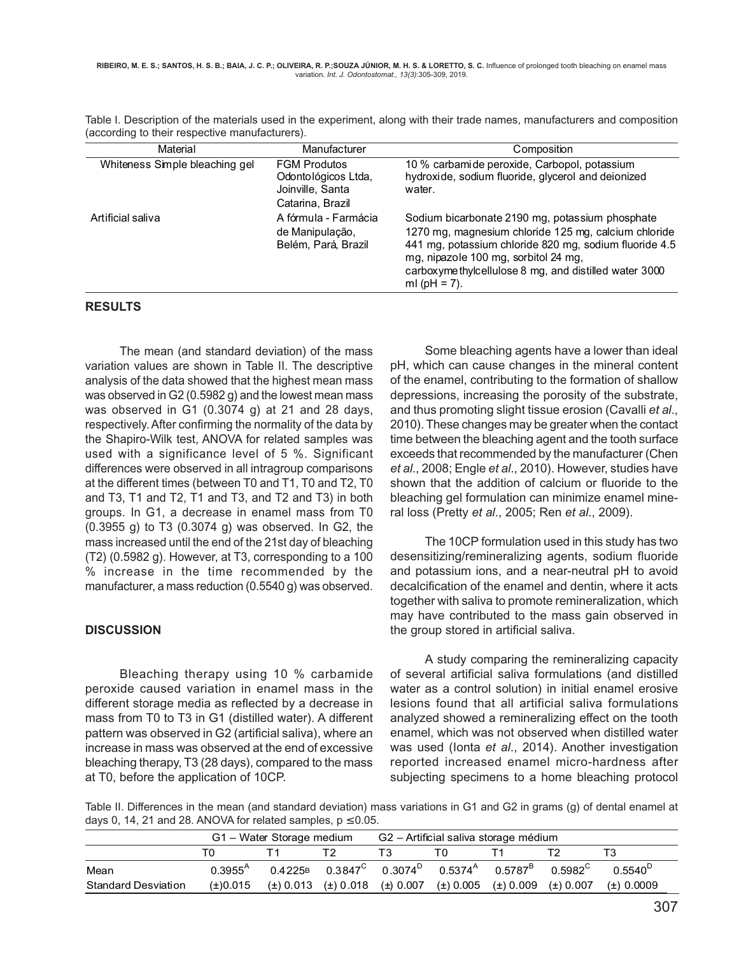| Material                                                                            | Manufacturer                                                                       | Composition                                                                                                                                                                                                                                                                             |  |  |  |  |
|-------------------------------------------------------------------------------------|------------------------------------------------------------------------------------|-----------------------------------------------------------------------------------------------------------------------------------------------------------------------------------------------------------------------------------------------------------------------------------------|--|--|--|--|
| Whiteness Simple bleaching gel                                                      | <b>FGM Produtos</b><br>Odontológicos Ltda,<br>Joinville, Santa<br>Catarina, Brazil | 10 % carbamide peroxide, Carbopol, potassium<br>hydroxide, sodium fluoride, glycerol and deionized<br>water.                                                                                                                                                                            |  |  |  |  |
| A fórmula - Farmácia<br>Artificial saliva<br>de Manipulação,<br>Belém, Pará, Brazil |                                                                                    | Sodium bicarbonate 2190 mg, potassium phosphate<br>1270 mg, magnesium chloride 125 mg, calcium chloride<br>441 mg, potassium chloride 820 mg, sodium fluoride 4.5<br>mg, nipazole 100 mg, sorbitol 24 mg,<br>carboxyme thylcellulose 8 mg, and distilled water 3000<br>ml ( $pH = 7$ ). |  |  |  |  |

Table I. Description of the materials used in the experiment, along with their trade names, manufacturers and composition (according to their respective manufacturers).

#### **RESULTS**

The mean (and standard deviation) of the mass variation values are shown in Table II. The descriptive analysis of the data showed that the highest mean mass was observed in G2 (0.5982 g) and the lowest mean mass was observed in G1 (0.3074 g) at 21 and 28 days, respectively. After confirming the normality of the data by the Shapiro-Wilk test, ANOVA for related samples was used with a significance level of 5 %. Significant differences were observed in all intragroup comparisons at the different times (between T0 and T1, T0 and T2, T0 and T3, T1 and T2, T1 and T3, and T2 and T3) in both groups. In G1, a decrease in enamel mass from T0 (0.3955 g) to T3 (0.3074 g) was observed. In G2, the mass increased until the end of the 21st day of bleaching (T2) (0.5982 g). However, at T3, corresponding to a 100 % increase in the time recommended by the manufacturer, a mass reduction (0.5540 g) was observed.

### **DISCUSSION**

Bleaching therapy using 10 % carbamide peroxide caused variation in enamel mass in the different storage media as reflected by a decrease in mass from T0 to T3 in G1 (distilled water). A different pattern was observed in G2 (artificial saliva), where an increase in mass was observed at the end of excessive bleaching therapy, T3 (28 days), compared to the mass at T0, before the application of 10CP.

Some bleaching agents have a lower than ideal pH, which can cause changes in the mineral content of the enamel, contributing to the formation of shallow depressions, increasing the porosity of the substrate, and thus promoting slight tissue erosion (Cavalli *et al*., 2010). These changes may be greater when the contact time between the bleaching agent and the tooth surface exceeds that recommended by the manufacturer (Chen *et al*., 2008; Engle *et al*., 2010). However, studies have shown that the addition of calcium or fluoride to the bleaching gel formulation can minimize enamel mineral loss (Pretty *et al*., 2005; Ren *et al*., 2009).

The 10CP formulation used in this study has two desensitizing/remineralizing agents, sodium fluoride and potassium ions, and a near-neutral pH to avoid decalcification of the enamel and dentin, where it acts together with saliva to promote remineralization, which may have contributed to the mass gain observed in the group stored in artificial saliva.

A study comparing the remineralizing capacity of several artificial saliva formulations (and distilled water as a control solution) in initial enamel erosive lesions found that all artificial saliva formulations analyzed showed a remineralizing effect on the tooth enamel, which was not observed when distilled water was used (Ionta *et al*., 2014). Another investigation reported increased enamel micro-hardness after subjecting specimens to a home bleaching protocol

Table II. Differences in the mean (and standard deviation) mass variations in G1 and G2 in grams (g) of dental enamel at days 0, 14, 21 and 28. ANOVA for related samples,  $p \le 0.05$ .

|                            | G1 - Water Storage medium |                                                                                            |                                           | G2 – Artificial saliva storage médium |                               |  |                     |                  |
|----------------------------|---------------------------|--------------------------------------------------------------------------------------------|-------------------------------------------|---------------------------------------|-------------------------------|--|---------------------|------------------|
|                            |                           |                                                                                            |                                           |                                       |                               |  |                     |                  |
| Mean                       | $0.3955^{\text{A}}$       | $0.4225$ B $0.3847^{\text{C}}$ $0.3074^{\text{D}}$ $0.5374^{\text{A}}$ $0.5787^{\text{B}}$ |                                           |                                       |                               |  | 0.5982 <sup>C</sup> | $0.5540^{\circ}$ |
| <b>Standard Desviation</b> | $(\pm)0.015$              |                                                                                            | $(\pm)$ 0.013 $(\pm)$ 0.018 $(\pm)$ 0.007 |                                       | (±) 0.005 (±) 0.009 (±) 0.007 |  |                     | (±) 0.0009       |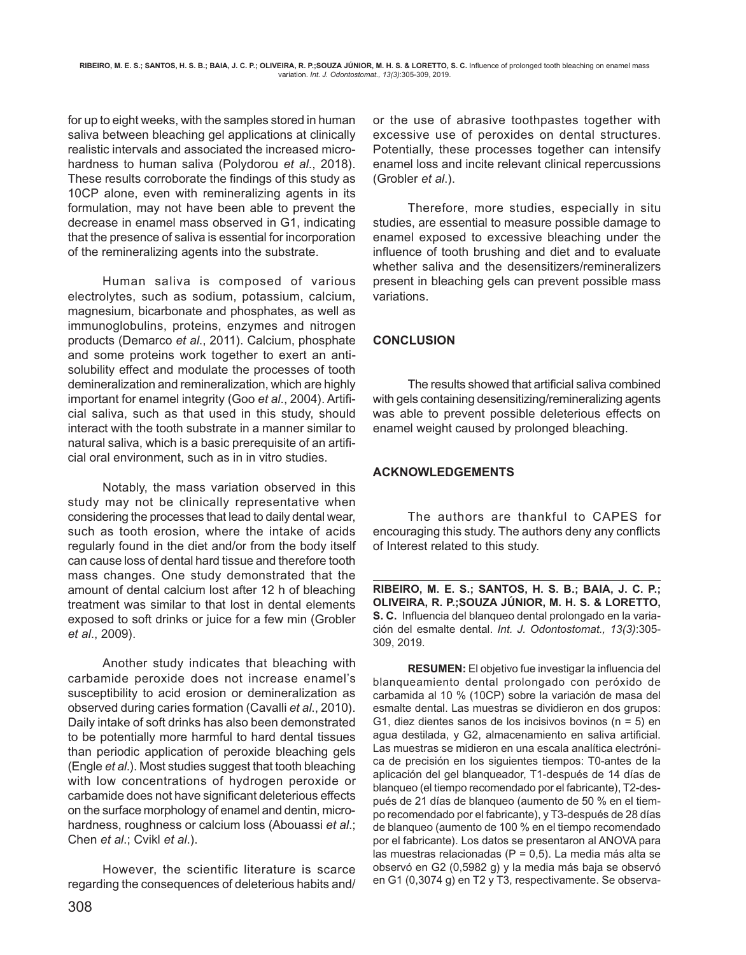for up to eight weeks, with the samples stored in human saliva between bleaching gel applications at clinically realistic intervals and associated the increased microhardness to human saliva (Polydorou *et al*., 2018). These results corroborate the findings of this study as 10CP alone, even with remineralizing agents in its formulation, may not have been able to prevent the decrease in enamel mass observed in G1, indicating that the presence of saliva is essential for incorporation of the remineralizing agents into the substrate.

Human saliva is composed of various electrolytes, such as sodium, potassium, calcium, magnesium, bicarbonate and phosphates, as well as immunoglobulins, proteins, enzymes and nitrogen products (Demarco *et al*., 2011). Calcium, phosphate and some proteins work together to exert an antisolubility effect and modulate the processes of tooth demineralization and remineralization, which are highly important for enamel integrity (Goo *et al*., 2004). Artificial saliva, such as that used in this study, should interact with the tooth substrate in a manner similar to natural saliva, which is a basic prerequisite of an artificial oral environment, such as in in vitro studies.

Notably, the mass variation observed in this study may not be clinically representative when considering the processes that lead to daily dental wear, such as tooth erosion, where the intake of acids regularly found in the diet and/or from the body itself can cause loss of dental hard tissue and therefore tooth mass changes. One study demonstrated that the amount of dental calcium lost after 12 h of bleaching treatment was similar to that lost in dental elements exposed to soft drinks or juice for a few min (Grobler *et al*., 2009).

Another study indicates that bleaching with carbamide peroxide does not increase enamel's susceptibility to acid erosion or demineralization as observed during caries formation (Cavalli *et al*., 2010). Daily intake of soft drinks has also been demonstrated to be potentially more harmful to hard dental tissues than periodic application of peroxide bleaching gels (Engle *et al*.). Most studies suggest that tooth bleaching with low concentrations of hydrogen peroxide or carbamide does not have significant deleterious effects on the surface morphology of enamel and dentin, microhardness, roughness or calcium loss (Abouassi *et al*.; Chen *et al*.; Cvikl *et al*.).

However, the scientific literature is scarce regarding the consequences of deleterious habits and/ or the use of abrasive toothpastes together with excessive use of peroxides on dental structures. Potentially, these processes together can intensify enamel loss and incite relevant clinical repercussions (Grobler *et al*.).

Therefore, more studies, especially in situ studies, are essential to measure possible damage to enamel exposed to excessive bleaching under the influence of tooth brushing and diet and to evaluate whether saliva and the desensitizers/remineralizers present in bleaching gels can prevent possible mass variations.

## **CONCLUSION**

The results showed that artificial saliva combined with gels containing desensitizing/remineralizing agents was able to prevent possible deleterious effects on enamel weight caused by prolonged bleaching.

## **ACKNOWLEDGEMENTS**

The authors are thankful to CAPES for encouraging this study. The authors deny any conflicts of Interest related to this study.

**RIBEIRO, M. E. S.; SANTOS, H. S. B.; BAIA, J. C. P.; OLIVEIRA, R. P.;SOUZA JÚNIOR, M. H. S. & LORETTO, S. C.** Influencia del blanqueo dental prolongado en la variación del esmalte dental. *Int. J. Odontostomat., 13(3)*:305- 309, 2019.

**RESUMEN:** El objetivo fue investigar la influencia del blanqueamiento dental prolongado con peróxido de carbamida al 10 % (10CP) sobre la variación de masa del esmalte dental. Las muestras se dividieron en dos grupos: G1, diez dientes sanos de los incisivos bovinos ( $n = 5$ ) en agua destilada, y G2, almacenamiento en saliva artificial. Las muestras se midieron en una escala analítica electrónica de precisión en los siguientes tiempos: T0-antes de la aplicación del gel blanqueador, T1-después de 14 días de blanqueo (el tiempo recomendado por el fabricante), T2-después de 21 días de blanqueo (aumento de 50 % en el tiempo recomendado por el fabricante), y T3-después de 28 días de blanqueo (aumento de 100 % en el tiempo recomendado por el fabricante). Los datos se presentaron al ANOVA para las muestras relacionadas ( $P = 0.5$ ). La media más alta se observó en G2 (0,5982 g) y la media más baja se observó en G1 (0,3074 g) en T2 y T3, respectivamente. Se observa